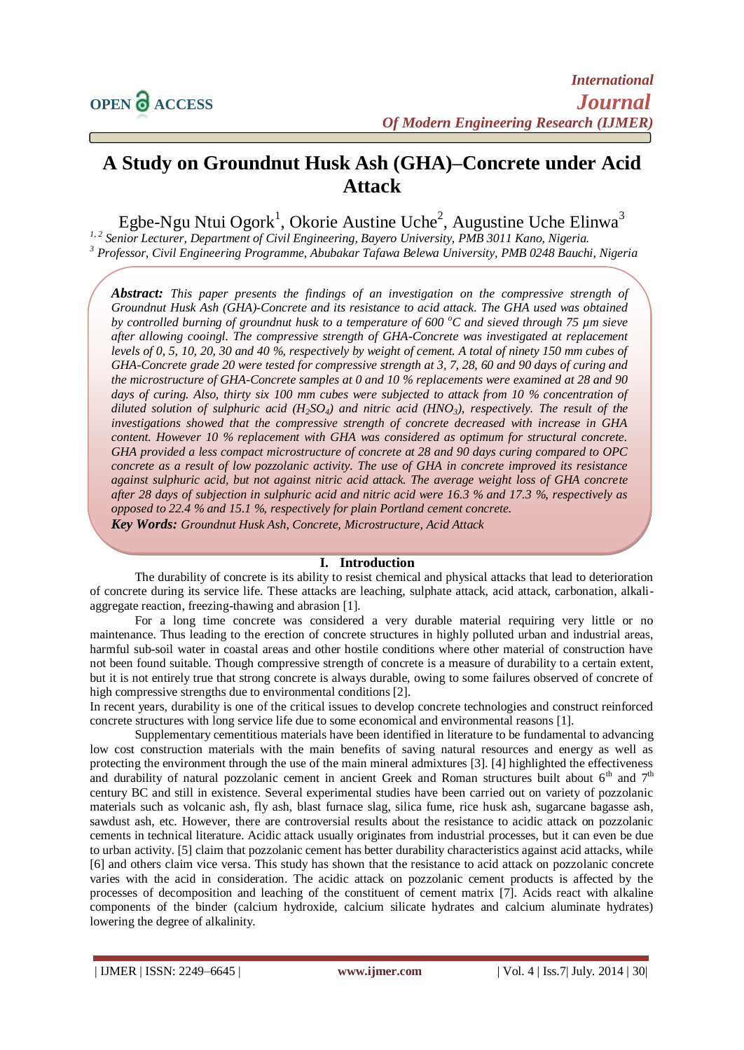# **A Study on Groundnut Husk Ash (GHA)–Concrete under Acid Attack**

Egbe-Ngu Ntui Ogork<sup>1</sup>, Okorie Austine Uche<sup>2</sup>, Augustine Uche Elinwa<sup>3</sup>

*1, 2 Senior Lecturer, Department of Civil Engineering, Bayero University, PMB 3011 Kano, Nigeria. <sup>3</sup> Professor, Civil Engineering Programme, Abubakar Tafawa Belewa University, PMB 0248 Bauchi, Nigeria*

*Abstract: This paper presents the findings of an investigation on the compressive strength of Groundnut Husk Ash (GHA)-Concrete and its resistance to acid attack. The GHA used was obtained by controlled burning of groundnut husk to a temperature of 600 <sup>o</sup>C and sieved through 75 µm sieve after allowing cooingl. The compressive strength of GHA-Concrete was investigated at replacement levels of 0, 5, 10, 20, 30 and 40 %, respectively by weight of cement. A total of ninety 150 mm cubes of GHA-Concrete grade 20 were tested for compressive strength at 3, 7, 28, 60 and 90 days of curing and the microstructure of GHA-Concrete samples at 0 and 10 % replacements were examined at 28 and 90 days of curing. Also, thirty six 100 mm cubes were subjected to attack from 10 % concentration of diluted solution of sulphuric acid (H2SO4) and nitric acid (HNO3), respectively. The result of the investigations showed that the compressive strength of concrete decreased with increase in GHA content. However 10 % replacement with GHA was considered as optimum for structural concrete. GHA provided a less compact microstructure of concrete at 28 and 90 days curing compared to OPC concrete as a result of low pozzolanic activity. The use of GHA in concrete improved its resistance against sulphuric acid, but not against nitric acid attack. The average weight loss of GHA concrete after 28 days of subjection in sulphuric acid and nitric acid were 16.3 % and 17.3 %, respectively as opposed to 22.4 % and 15.1 %, respectively for plain Portland cement concrete.*

*Key Words: Groundnut Husk Ash, Concrete, Microstructure, Acid Attack*

#### **I. Introduction**

The durability of concrete is its ability to resist chemical and physical attacks that lead to deterioration of concrete during its service life. These attacks are leaching, sulphate attack, acid attack, carbonation, alkaliaggregate reaction, freezing-thawing and abrasion [1].

For a long time concrete was considered a very durable material requiring very little or no maintenance. Thus leading to the erection of concrete structures in highly polluted urban and industrial areas, harmful sub-soil water in coastal areas and other hostile conditions where other material of construction have not been found suitable. Though compressive strength of concrete is a measure of durability to a certain extent, but it is not entirely true that strong concrete is always durable, owing to some failures observed of concrete of high compressive strengths due to environmental conditions [2].

In recent years, durability is one of the critical issues to develop concrete technologies and construct reinforced concrete structures with long service life due to some economical and environmental reasons [1].

Supplementary cementitious materials have been identified in literature to be fundamental to advancing low cost construction materials with the main benefits of saving natural resources and energy as well as protecting the environment through the use of the main mineral admixtures [3]. [4] highlighted the effectiveness and durability of natural pozzolanic cement in ancient Greek and Roman structures built about  $6<sup>th</sup>$  and  $7<sup>th</sup>$ century BC and still in existence. Several experimental studies have been carried out on variety of pozzolanic materials such as volcanic ash, fly ash, blast furnace slag, silica fume, rice husk ash, sugarcane bagasse ash, sawdust ash, etc. However, there are controversial results about the resistance to acidic attack on pozzolanic cements in technical literature. Acidic attack usually originates from industrial processes, but it can even be due to urban activity. [5] claim that pozzolanic cement has better durability characteristics against acid attacks, while [6] and others claim vice versa. This study has shown that the resistance to acid attack on pozzolanic concrete varies with the acid in consideration. The acidic attack on pozzolanic cement products is affected by the processes of decomposition and leaching of the constituent of cement matrix [7]. Acids react with alkaline components of the binder (calcium hydroxide, calcium silicate hydrates and calcium aluminate hydrates) lowering the degree of alkalinity.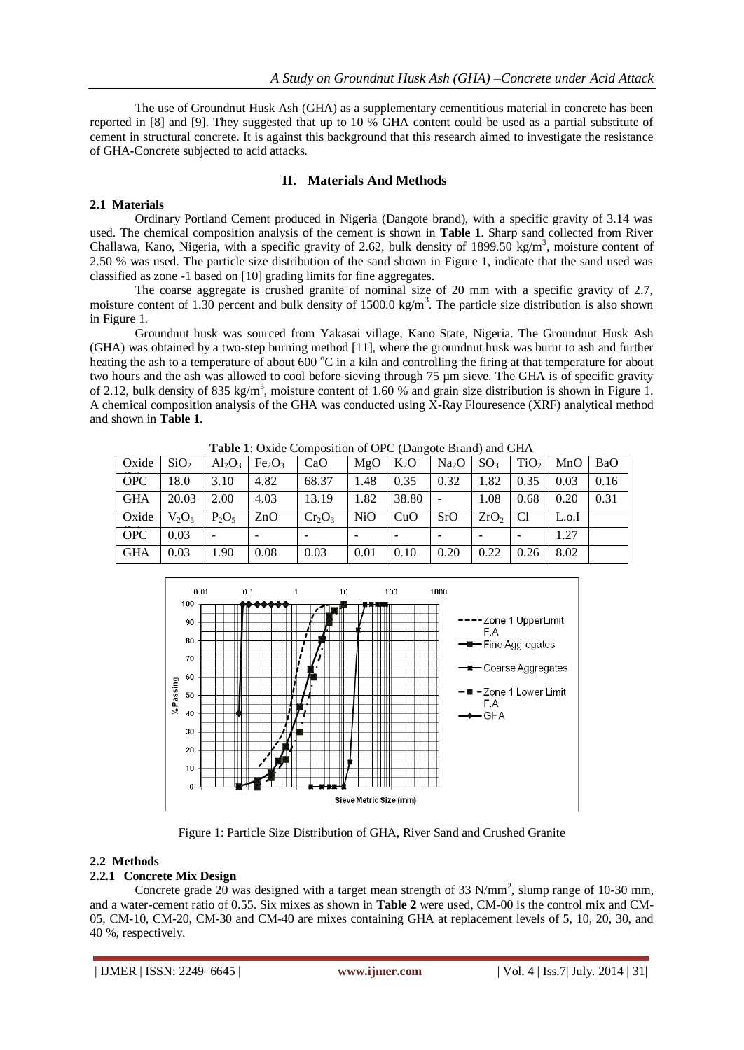The use of Groundnut Husk Ash (GHA) as a supplementary cementitious material in concrete has been reported in [8] and [9]. They suggested that up to 10 % GHA content could be used as a partial substitute of cement in structural concrete. It is against this background that this research aimed to investigate the resistance of GHA-Concrete subjected to acid attacks.

## **II. Materials And Methods**

## **2.1 Materials**

Ordinary Portland Cement produced in Nigeria (Dangote brand), with a specific gravity of 3.14 was used. The chemical composition analysis of the cement is shown in **Table 1**. Sharp sand collected from River Challawa, Kano, Nigeria, with a specific gravity of 2.62, bulk density of 1899.50 kg/m<sup>3</sup>, moisture content of 2.50 % was used. The particle size distribution of the sand shown in Figure 1, indicate that the sand used was classified as zone -1 based on [10] grading limits for fine aggregates.

The coarse aggregate is crushed granite of nominal size of 20 mm with a specific gravity of 2.7, moisture content of 1.30 percent and bulk density of 1500.0 kg/m<sup>3</sup>. The particle size distribution is also shown in Figure 1.

Groundnut husk was sourced from Yakasai village, Kano State, Nigeria. The Groundnut Husk Ash (GHA) was obtained by a two-step burning method [11], where the groundnut husk was burnt to ash and further heating the ash to a temperature of about  $600^{\circ}$ C in a kiln and controlling the firing at that temperature for about two hours and the ash was allowed to cool before sieving through 75 µm sieve. The GHA is of specific gravity of 2.12, bulk density of 835 kg/m<sup>3</sup>, moisture content of 1.60 % and grain size distribution is shown in Figure 1. A chemical composition analysis of the GHA was conducted using X-Ray Flouresence (XRF) analytical method and shown in **Table 1**.

|            |                  |           |                                | <b>Tuble 1:</b> Oxide Composition of Orle (Dungole Diuna) and Office |      |                          |                   |                  |                  |       |      |
|------------|------------------|-----------|--------------------------------|----------------------------------------------------------------------|------|--------------------------|-------------------|------------------|------------------|-------|------|
| Oxide      | SiO <sub>2</sub> | $Al_2O_3$ | Fe <sub>2</sub> O <sub>3</sub> | CaO                                                                  | MgO  | $K_2O$                   | Na <sub>2</sub> O | SO <sub>3</sub>  | TiO <sub>2</sub> | MnO   | BaO  |
| <b>OPC</b> | 18.0             | 3.10      | 4.82                           | 68.37                                                                | 1.48 | 0.35                     | 0.32              | 1.82             | 0.35             | 0.03  | 0.16 |
| <b>GHA</b> | 20.03            | 2.00      | 4.03                           | 13.19                                                                | 1.82 | 38.80                    |                   | 1.08             | 0.68             | 0.20  | 0.31 |
| Oxide      | $V_2O_5$         | $P_2O_5$  | ZnO                            | $Cr_2O_3$                                                            | NiO  | CuO                      | SrO               | ZrO <sub>2</sub> | C <sub>1</sub>   | L.o.I |      |
| <b>OPC</b> | 0.03             |           |                                |                                                                      |      | $\overline{\phantom{0}}$ |                   |                  |                  | 1.27  |      |
| <b>GHA</b> | 0.03             | 1.90      | 0.08                           | 0.03                                                                 | 0.01 | 0.10                     | 0.20              | 0.22             | 0.26             | 8.02  |      |

**Table 1**: Oxide Composition of OPC (Dangote Brand) and GHA



Figure 1: Particle Size Distribution of GHA, River Sand and Crushed Granite

### **2.2 Methods**

### **2.2.1 Concrete Mix Design**

Concrete grade 20 was designed with a target mean strength of 33 N/mm<sup>2</sup>, slump range of 10-30 mm, and a water-cement ratio of 0.55. Six mixes as shown in **Table 2** were used, CM-00 is the control mix and CM-05, CM-10, CM-20, CM-30 and CM-40 are mixes containing GHA at replacement levels of 5, 10, 20, 30, and 40 %, respectively.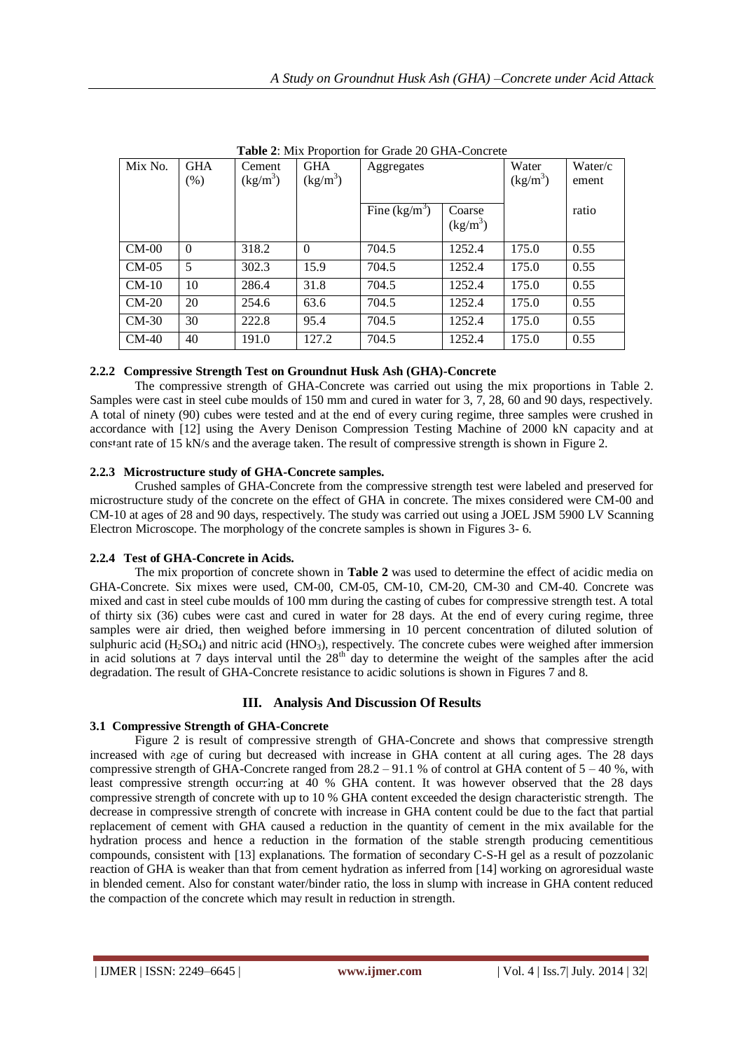| Mix No. | <b>GHA</b><br>$(\%)$ | Cement<br>$(kg/m^3)$ | <b>GHA</b><br>(kg/m <sup>3</sup> ) | Aggregates      |                      | Water<br>$(kg/m^3)$ | Water/c<br>ement |
|---------|----------------------|----------------------|------------------------------------|-----------------|----------------------|---------------------|------------------|
|         |                      |                      |                                    | Fine $(kg/m^3)$ | Coarse<br>$(kg/m^3)$ |                     | ratio            |
| $CM-00$ | $\Omega$             | 318.2                | $\Omega$                           | 704.5           | 1252.4               | 175.0               | 0.55             |
| $CM-05$ | 5                    | 302.3                | 15.9                               | 704.5           | 1252.4               | 175.0               | 0.55             |
| $CM-10$ | 10                   | 286.4                | 31.8                               | 704.5           | 1252.4               | 175.0               | 0.55             |
| $CM-20$ | 20                   | 254.6                | 63.6                               | 704.5           | 1252.4               | 175.0               | 0.55             |
| $CM-30$ | 30                   | 222.8                | 95.4                               | 704.5           | 1252.4               | 175.0               | 0.55             |
| $CM-40$ | 40                   | 191.0                | 127.2                              | 704.5           | 1252.4               | 175.0               | 0.55             |

**Table 2**: Mix Proportion for Grade 20 GHA-Concrete

# **2.2.2 Compressive Strength Test on Groundnut Husk Ash (GHA)-Concrete**

The compressive strength of GHA-Concrete was carried out using the mix proportions in Table 2. Samples were cast in steel cube moulds of 150 mm and cured in water for 3, 7, 28, 60 and 90 days, respectively. A total of ninety (90) cubes were tested and at the end of every curing regime, three samples were crushed in accordance with [12] using the Avery Denison Compression Testing Machine of 2000 kN capacity and at constant rate of 15 kN/s and the average taken. The result of compressive strength is shown in Figure 2.

## **2.2.3 Microstructure study of GHA-Concrete samples.**

Crushed samples of GHA-Concrete from the compressive strength test were labeled and preserved for microstructure study of the concrete on the effect of GHA in concrete. The mixes considered were CM-00 and CM-10 at ages of 28 and 90 days, respectively. The study was carried out using a JOEL JSM 5900 LV Scanning Electron Microscope. The morphology of the concrete samples is shown in Figures 3- 6.

## **2.2.4 Test of GHA-Concrete in Acids.**

The mix proportion of concrete shown in **Table 2** was used to determine the effect of acidic media on GHA-Concrete. Six mixes were used, CM-00, CM-05, CM-10, CM-20, CM-30 and CM-40. Concrete was mixed and cast in steel cube moulds of 100 mm during the casting of cubes for compressive strength test. A total of thirty six (36) cubes were cast and cured in water for 28 days. At the end of every curing regime, three samples were air dried, then weighed before immersing in 10 percent concentration of diluted solution of sulphuric acid ( $H_2SO_4$ ) and nitric acid ( $HNO_3$ ), respectively. The concrete cubes were weighed after immersion in acid solutions at 7 days interval until the  $28<sup>th</sup>$  day to determine the weight of the samples after the acid degradation. The result of GHA-Concrete resistance to acidic solutions is shown in Figures 7 and 8.

# **III. Analysis And Discussion Of Results**

## **3.1 Compressive Strength of GHA-Concrete**

Figure 2 is result of compressive strength of GHA-Concrete and shows that compressive strength increased with age of curing but decreased with increase in GHA content at all curing ages. The 28 days compressive strength of GHA-Concrete ranged from  $28.2 - 91.1$  % of control at GHA content of  $5 - 40$  %, with least compressive strength occurring at 40 % GHA content. It was however observed that the 28 days compressive strength of concrete with up to 10 % GHA content exceeded the design characteristic strength. The decrease in compressive strength of concrete with increase in GHA content could be due to the fact that partial replacement of cement with GHA caused a reduction in the quantity of cement in the mix available for the hydration process and hence a reduction in the formation of the stable strength producing cementitious compounds, consistent with [13] explanations. The formation of secondary C-S-H gel as a result of pozzolanic reaction of GHA is weaker than that from cement hydration as inferred from [14] working on agroresidual waste in blended cement. Also for constant water/binder ratio, the loss in slump with increase in GHA content reduced the compaction of the concrete which may result in reduction in strength.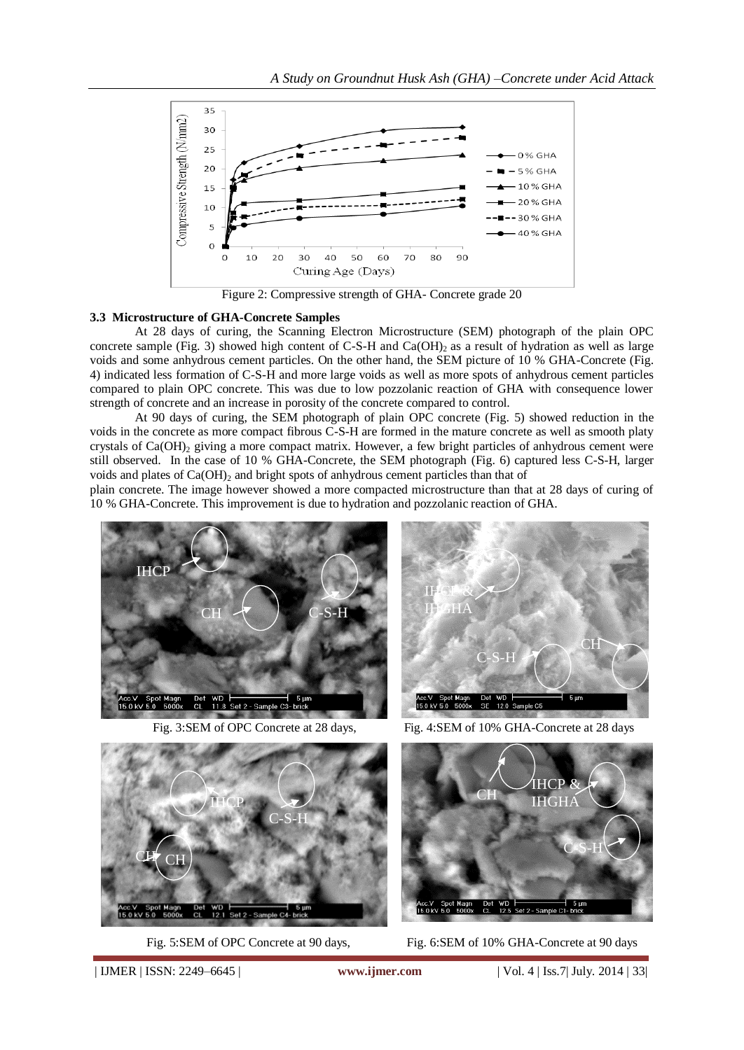

Figure 2: Compressive strength of GHA- Concrete grade 20

#### **3.3 Microstructure of GHA-Concrete Samples**

At 28 days of curing, the Scanning Electron Microstructure (SEM) photograph of the plain OPC concrete sample (Fig. 3) showed high content of C-S-H and Ca(OH)<sub>2</sub> as a result of hydration as well as large voids and some anhydrous cement particles. On the other hand, the SEM picture of 10 % GHA-Concrete (Fig. 4) indicated less formation of C-S-H and more large voids as well as more spots of anhydrous cement particles compared to plain OPC concrete. This was due to low pozzolanic reaction of GHA with consequence lower strength of concrete and an increase in porosity of the concrete compared to control.

At 90 days of curing, the SEM photograph of plain OPC concrete (Fig. 5) showed reduction in the voids in the concrete as more compact fibrous C-S-H are formed in the mature concrete as well as smooth platy crystals of  $Ca(OH)$ <sub>2</sub> giving a more compact matrix. However, a few bright particles of anhydrous cement were still observed. In the case of 10 % GHA-Concrete, the SEM photograph (Fig. 6) captured less C-S-H, larger voids and plates of  $Ca(OH)_2$  and bright spots of anhydrous cement particles than that of

plain concrete. The image however showed a more compacted microstructure than that at 28 days of curing of 10 % GHA-Concrete. This improvement is due to hydration and pozzolanic reaction of GHA.



Fig. 3:SEM of OPC Concrete at 28 days, Fig. 4:SEM of 10% GHA-Concrete at 28 days









Fig. 5:SEM of OPC Concrete at 90 days, Fig. 6:SEM of 10% GHA-Concrete at 90 days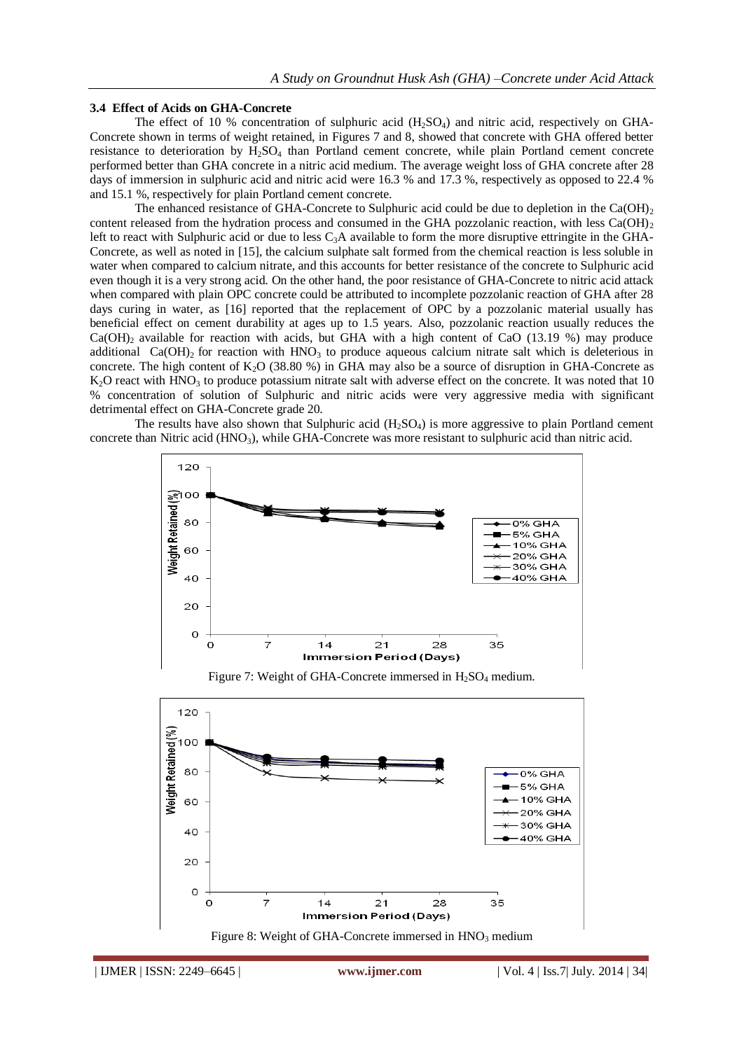#### **3.4 Effect of Acids on GHA-Concrete**

The effect of 10 % concentration of sulphuric acid  $(H_2SO_4)$  and nitric acid, respectively on GHA-Concrete shown in terms of weight retained, in Figures 7 and 8, showed that concrete with GHA offered better resistance to deterioration by H2SO<sup>4</sup> than Portland cement concrete, while plain Portland cement concrete performed better than GHA concrete in a nitric acid medium. The average weight loss of GHA concrete after 28 days of immersion in sulphuric acid and nitric acid were 16.3 % and 17.3 %, respectively as opposed to 22.4 % and 15.1 %, respectively for plain Portland cement concrete.

The enhanced resistance of GHA-Concrete to Sulphuric acid could be due to depletion in the  $Ca(OH)_2$ content released from the hydration process and consumed in the GHA pozzolanic reaction, with less  $Ca(OH)_2$ left to react with Sulphuric acid or due to less  $C_3A$  available to form the more disruptive ettringite in the GHA-Concrete, as well as noted in [15], the calcium sulphate salt formed from the chemical reaction is less soluble in water when compared to calcium nitrate, and this accounts for better resistance of the concrete to Sulphuric acid even though it is a very strong acid. On the other hand, the poor resistance of GHA-Concrete to nitric acid attack when compared with plain OPC concrete could be attributed to incomplete pozzolanic reaction of GHA after 28 days curing in water, as [16] reported that the replacement of OPC by a pozzolanic material usually has beneficial effect on cement durability at ages up to 1.5 years. Also, pozzolanic reaction usually reduces the  $Ca(OH)_2$  available for reaction with acids, but GHA with a high content of CaO (13.19 %) may produce additional Ca(OH)<sub>2</sub> for reaction with  $HNO<sub>3</sub>$  to produce aqueous calcium nitrate salt which is deleterious in concrete. The high content of  $K_2O$  (38.80 %) in GHA may also be a source of disruption in GHA-Concrete as  $K<sub>2</sub>O$  react with HNO<sub>3</sub> to produce potassium nitrate salt with adverse effect on the concrete. It was noted that 10 % concentration of solution of Sulphuric and nitric acids were very aggressive media with significant detrimental effect on GHA-Concrete grade 20.

The results have also shown that Sulphuric acid  $(H_2SO_4)$  is more aggressive to plain Portland cement concrete than Nitric acid  $(HNO<sub>3</sub>)$ , while GHA-Concrete was more resistant to sulphuric acid than nitric acid.